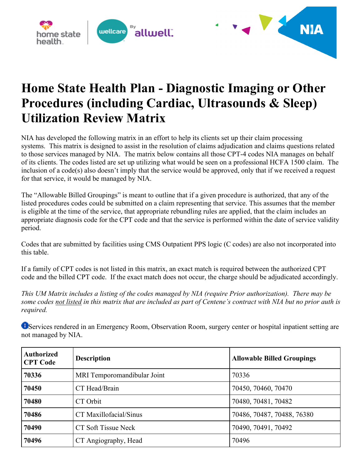



## **Home State Health Plan - Diagnostic Imaging or Other Procedures (including Cardiac, Ultrasounds & Sleep) Utilization Review Matrix**

NIA has developed the following matrix in an effort to help its clients set up their claim processing systems. This matrix is designed to assist in the resolution of claims adjudication and claims questions related to those services managed by NIA. The matrix below contains all those CPT-4 codes NIA manages on behalf of its clients. The codes listed are set up utilizing what would be seen on a professional HCFA 1500 claim. The inclusion of a code(s) also doesn't imply that the service would be approved, only that if we received a request for that service, it would be managed by NIA.

The "Allowable Billed Groupings" is meant to outline that if a given procedure is authorized, that any of the listed procedures codes could be submitted on a claim representing that service. This assumes that the member is eligible at the time of the service, that appropriate rebundling rules are applied, that the claim includes an appropriate diagnosis code for the CPT code and that the service is performed within the date of service validity period.

Codes that are submitted by facilities using CMS Outpatient PPS logic (C codes) are also not incorporated into this table.

If a family of CPT codes is not listed in this matrix, an exact match is required between the authorized CPT code and the billed CPT code. If the exact match does not occur, the charge should be adjudicated accordingly.

*This UM Matrix includes a listing of the codes managed by NIA (require Prior authorization). There may be some codes not listed in this matrix that are included as part of Centene's contract with NIA but no prior auth is required.*

Services rendered in an Emergency Room, Observation Room, surgery center or hospital inpatient setting are not managed by NIA.

| <b>Authorized</b><br><b>CPT Code</b> | <b>Description</b>          | <b>Allowable Billed Groupings</b> |
|--------------------------------------|-----------------------------|-----------------------------------|
| 70336                                | MRI Temporomandibular Joint | 70336                             |
| 70450                                | CT Head/Brain               | 70450, 70460, 70470               |
| 70480                                | CT Orbit                    | 70480, 70481, 70482               |
| 70486                                | CT Maxillofacial/Sinus      | 70486, 70487, 70488, 76380        |
| 70490                                | CT Soft Tissue Neck         | 70490, 70491, 70492               |
| 70496                                | CT Angiography, Head        | 70496                             |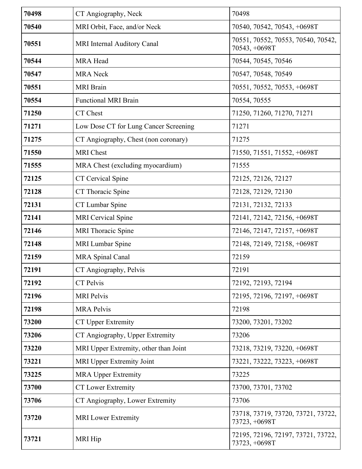| 70498 | CT Angiography, Neck                  | 70498                                               |
|-------|---------------------------------------|-----------------------------------------------------|
| 70540 | MRI Orbit, Face, and/or Neck          | 70540, 70542, 70543, +0698T                         |
| 70551 | MRI Internal Auditory Canal           | 70551, 70552, 70553, 70540, 70542,<br>70543, +0698T |
| 70544 | <b>MRA Head</b>                       | 70544, 70545, 70546                                 |
| 70547 | <b>MRA</b> Neck                       | 70547, 70548, 70549                                 |
| 70551 | <b>MRI</b> Brain                      | 70551, 70552, 70553, +0698T                         |
| 70554 | <b>Functional MRI Brain</b>           | 70554, 70555                                        |
| 71250 | CT Chest                              | 71250, 71260, 71270, 71271                          |
| 71271 | Low Dose CT for Lung Cancer Screening | 71271                                               |
| 71275 | CT Angiography, Chest (non coronary)  | 71275                                               |
| 71550 | <b>MRI</b> Chest                      | 71550, 71551, 71552, +0698T                         |
| 71555 | MRA Chest (excluding myocardium)      | 71555                                               |
| 72125 | CT Cervical Spine                     | 72125, 72126, 72127                                 |
| 72128 | CT Thoracic Spine                     | 72128, 72129, 72130                                 |
| 72131 | CT Lumbar Spine                       | 72131, 72132, 72133                                 |
| 72141 | <b>MRI</b> Cervical Spine             | 72141, 72142, 72156, +0698T                         |
| 72146 | <b>MRI</b> Thoracic Spine             | 72146, 72147, 72157, +0698T                         |
| 72148 | MRI Lumbar Spine                      | 72148, 72149, 72158, +0698T                         |
| 72159 | <b>MRA</b> Spinal Canal               | 72159                                               |
| 72191 | CT Angiography, Pelvis                | 72191                                               |
| 72192 | CT Pelvis                             | 72192, 72193, 72194                                 |
| 72196 | <b>MRI</b> Pelvis                     | 72195, 72196, 72197, +0698T                         |
| 72198 | <b>MRA Pelvis</b>                     | 72198                                               |
| 73200 | <b>CT Upper Extremity</b>             | 73200, 73201, 73202                                 |
| 73206 | CT Angiography, Upper Extremity       | 73206                                               |
| 73220 | MRI Upper Extremity, other than Joint | 73218, 73219, 73220, +0698T                         |
| 73221 | MRI Upper Extremity Joint             | 73221, 73222, 73223, +0698T                         |
| 73225 | <b>MRA Upper Extremity</b>            | 73225                                               |
| 73700 | <b>CT Lower Extremity</b>             | 73700, 73701, 73702                                 |
| 73706 | CT Angiography, Lower Extremity       | 73706                                               |
| 73720 | <b>MRI</b> Lower Extremity            | 73718, 73719, 73720, 73721, 73722,<br>73723, +0698T |
| 73721 | <b>MRI</b> Hip                        | 72195, 72196, 72197, 73721, 73722,<br>73723, +0698T |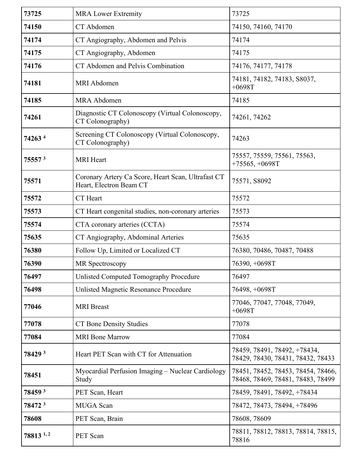| 73725                | <b>MRA Lower Extremity</b>                                                    | 73725                                                                   |
|----------------------|-------------------------------------------------------------------------------|-------------------------------------------------------------------------|
| 74150                | CT Abdomen                                                                    | 74150, 74160, 74170                                                     |
| 74174                | CT Angiography, Abdomen and Pelvis                                            | 74174                                                                   |
| 74175                | CT Angiography, Abdomen                                                       | 74175                                                                   |
| 74176                | CT Abdomen and Pelvis Combination                                             | 74176, 74177, 74178                                                     |
| 74181                | <b>MRI</b> Abdomen                                                            | 74181, 74182, 74183, S8037,<br>$+0698T$                                 |
| 74185                | <b>MRA</b> Abdomen                                                            | 74185                                                                   |
| 74261                | Diagnostic CT Colonoscopy (Virtual Colonoscopy,<br>CT Colonography)           | 74261, 74262                                                            |
| 74263 <sup>4</sup>   | Screening CT Colonoscopy (Virtual Colonoscopy,<br>CT Colonography)            | 74263                                                                   |
| 755573               | <b>MRI</b> Heart                                                              | 75557, 75559, 75561, 75563,<br>$+75565, +0698T$                         |
| 75571                | Coronary Artery Ca Score, Heart Scan, Ultrafast CT<br>Heart, Electron Beam CT | 75571, S8092                                                            |
| 75572                | CT Heart                                                                      | 75572                                                                   |
| 75573                | CT Heart congenital studies, non-coronary arteries                            | 75573                                                                   |
| 75574                | CTA coronary arteries (CCTA)                                                  | 75574                                                                   |
| 75635                | CT Angiography, Abdominal Arteries                                            | 75635                                                                   |
| 76380                | Follow Up, Limited or Localized CT                                            | 76380, 70486, 70487, 70488                                              |
| 76390                | MR Spectroscopy                                                               | 76390, +0698T                                                           |
| 76497                | <b>Unlisted Computed Tomography Procedure</b>                                 | 76497                                                                   |
| 76498                | <b>Unlisted Magnetic Resonance Procedure</b>                                  | 76498, +0698T                                                           |
| 77046                | <b>MRI</b> Breast                                                             | 77046, 77047, 77048, 77049,<br>$+0698T$                                 |
| 77078                | <b>CT Bone Density Studies</b>                                                | 77078                                                                   |
| 77084                | <b>MRI</b> Bone Marrow                                                        | 77084                                                                   |
| 78429 3              | Heart PET Scan with CT for Attenuation                                        | 78459, 78491, 78492, +78434,<br>78429, 78430, 78431, 78432, 78433       |
| 78451                | Myocardial Perfusion Imaging – Nuclear Cardiology<br>Study                    | 78451, 78452, 78453, 78454, 78466,<br>78468, 78469, 78481, 78483, 78499 |
| 78459 <sup>3</sup>   | PET Scan, Heart                                                               | 78459, 78491, 78492, +78434                                             |
| 78472 3              | <b>MUGA</b> Scan                                                              | 78472, 78473, 78494, +78496                                             |
| 78608                | PET Scan, Brain                                                               | 78608, 78609                                                            |
| 78813 <sup>1,2</sup> | PET Scan                                                                      | 78811, 78812, 78813, 78814, 78815,<br>78816                             |